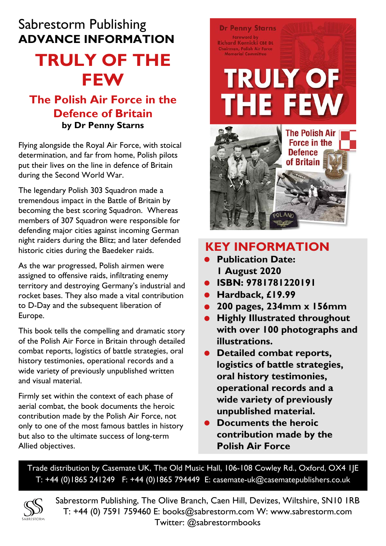## Sabrestorm Publishing **ADVANCE INFORMATION**

# **TRULY OF THE FEW**

### **The Polish Air Force in the Defence of Britain by Dr Penny Starns**

Flying alongside the Royal Air Force, with stoical determination, and far from home, Polish pilots put their lives on the line in defence of Britain during the Second World War.

The legendary Polish 303 Squadron made a tremendous impact in the Battle of Britain by becoming the best scoring Squadron. Whereas members of 307 Squadron were responsible for defending major cities against incoming German night raiders during the Blitz; and later defended historic cities during the Baedeker raids.

As the war progressed, Polish airmen were assigned to offensive raids, infiltrating enemy territory and destroying Germany's industrial and rocket bases. They also made a vital contribution to D-Day and the subsequent liberation of Europe.

This book tells the compelling and dramatic story of the Polish Air Force in Britain through detailed combat reports, logistics of battle strategies, oral history testimonies, operational records and a wide variety of previously unpublished written and visual material.

Firmly set within the context of each phase of aerial combat, the book documents the heroic contribution made by the Polish Air Force, not only to one of the most famous battles in history but also to the ultimate success of long-term Allied objectives.

## **Dr Penny Starns** Foreword by **Richard Kornicki CBE DL** hairman, Polish Air Force **TRULY OF THE FEW The Polish Air Force in the Defence** of Britain



- **• Publication Date: 1 August 2020**
- **• ISBN: 9781781220191**
- **• Hardback, £19.99**
- **• 200 pages, 234mm x 156mm**
- **• Highly Illustrated throughout with over 100 photographs and illustrations.**
- **• Detailed combat reports, logistics of battle strategies, oral history testimonies, operational records and a wide variety of previously unpublished material.**
- **• Documents the heroic contribution made by the Polish Air Force**

Trade distribution by Casemate UK, The Old Music Hall, 106-108 Cowley Rd., Oxford, OX4 1JE T: +44 (0)1865 241249 F: +44 (0)1865 794449 E: casemate-uk@casematepublishers.co.uk



Sabrestorm Publishing, The Olive Branch, Caen Hill, Devizes, Wiltshire, SN10 1RB T: +44 (0) 7591 759460 E: books@sabrestorm.com W: www.sabrestorm.com Twitter: @sabrestormbooks